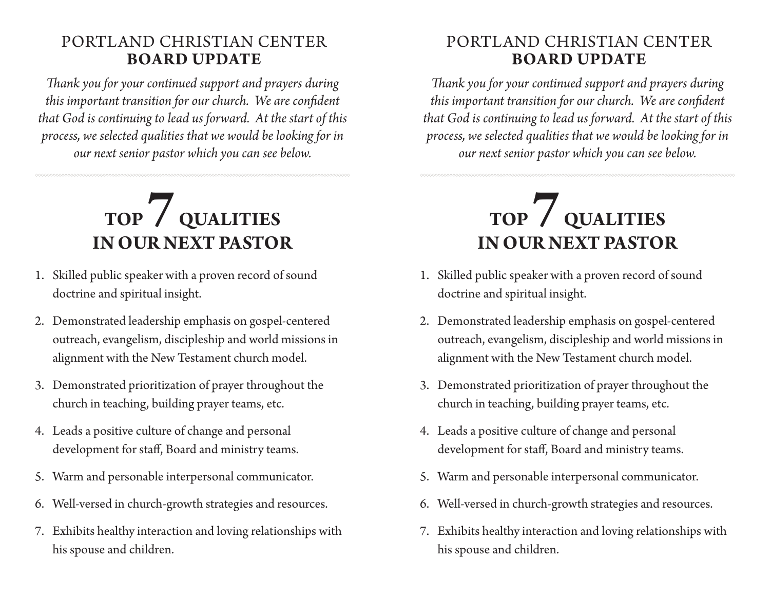## PORTLAND CHRISTIAN CENTER **BOARD UPDATE**

*Thank you for your continued support and prayers during this important transition for our church. We are confident that God is continuing to lead us forward. At the start of this process, we selected qualities that we would be looking for in our next senior pastor which you can see below.*

## **TOP 7 QUALITIES IN OUR NEXT PASTOR**

- 1. Skilled public speaker with a proven record of sound doctrine and spiritual insight.
- 2. Demonstrated leadership emphasis on gospel-centered outreach, evangelism, discipleship and world missions in alignment with the New Testament church model.
- 3. Demonstrated prioritization of prayer throughout the church in teaching, building prayer teams, etc.
- 4. Leads a positive culture of change and personal development for staff, Board and ministry teams.
- 5. Warm and personable interpersonal communicator.
- 6. Well-versed in church-growth strategies and resources.
- 7. Exhibits healthy interaction and loving relationships with his spouse and children.